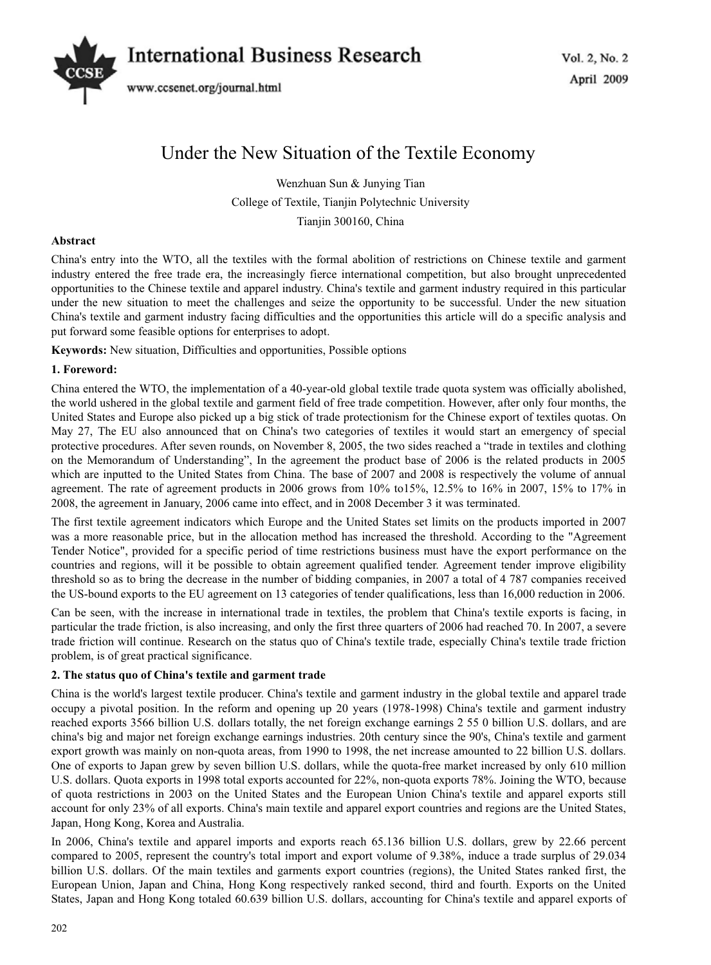# Vol. 2, No. 2 *International Business Research*



www.ccsenet.org/journal.html

# Under the New Situation of the Textile Economy

Wenzhuan Sun & Junying Tian College of Textile, Tianjin Polytechnic University Tianjin 300160, China

# **Abstract**

China's entry into the WTO, all the textiles with the formal abolition of restrictions on Chinese textile and garment industry entered the free trade era, the increasingly fierce international competition, but also brought unprecedented opportunities to the Chinese textile and apparel industry. China's textile and garment industry required in this particular under the new situation to meet the challenges and seize the opportunity to be successful. Under the new situation China's textile and garment industry facing difficulties and the opportunities this article will do a specific analysis and put forward some feasible options for enterprises to adopt.

**Keywords:** New situation, Difficulties and opportunities, Possible options

# **1. Foreword:**

China entered the WTO, the implementation of a 40-year-old global textile trade quota system was officially abolished, the world ushered in the global textile and garment field of free trade competition. However, after only four months, the United States and Europe also picked up a big stick of trade protectionism for the Chinese export of textiles quotas. On May 27, The EU also announced that on China's two categories of textiles it would start an emergency of special protective procedures. After seven rounds, on November 8, 2005, the two sides reached a "trade in textiles and clothing on the Memorandum of Understanding", In the agreement the product base of 2006 is the related products in 2005 which are inputted to the United States from China. The base of 2007 and 2008 is respectively the volume of annual agreement. The rate of agreement products in 2006 grows from 10% to15%, 12.5% to 16% in 2007, 15% to 17% in 2008, the agreement in January, 2006 came into effect, and in 2008 December 3 it was terminated.

The first textile agreement indicators which Europe and the United States set limits on the products imported in 2007 was a more reasonable price, but in the allocation method has increased the threshold. According to the "Agreement Tender Notice", provided for a specific period of time restrictions business must have the export performance on the countries and regions, will it be possible to obtain agreement qualified tender. Agreement tender improve eligibility threshold so as to bring the decrease in the number of bidding companies, in 2007 a total of 4 787 companies received the US-bound exports to the EU agreement on 13 categories of tender qualifications, less than 16,000 reduction in 2006.

Can be seen, with the increase in international trade in textiles, the problem that China's textile exports is facing, in particular the trade friction, is also increasing, and only the first three quarters of 2006 had reached 70. In 2007, a severe trade friction will continue. Research on the status quo of China's textile trade, especially China's textile trade friction problem, is of great practical significance.

# **2. The status quo of China's textile and garment trade**

China is the world's largest textile producer. China's textile and garment industry in the global textile and apparel trade occupy a pivotal position. In the reform and opening up 20 years (1978-1998) China's textile and garment industry reached exports 3566 billion U.S. dollars totally, the net foreign exchange earnings 2 55 0 billion U.S. dollars, and are china's big and major net foreign exchange earnings industries. 20th century since the 90's, China's textile and garment export growth was mainly on non-quota areas, from 1990 to 1998, the net increase amounted to 22 billion U.S. dollars. One of exports to Japan grew by seven billion U.S. dollars, while the quota-free market increased by only 610 million U.S. dollars. Quota exports in 1998 total exports accounted for 22%, non-quota exports 78%. Joining the WTO, because of quota restrictions in 2003 on the United States and the European Union China's textile and apparel exports still account for only 23% of all exports. China's main textile and apparel export countries and regions are the United States, Japan, Hong Kong, Korea and Australia.

In 2006, China's textile and apparel imports and exports reach 65.136 billion U.S. dollars, grew by 22.66 percent compared to 2005, represent the country's total import and export volume of 9.38%, induce a trade surplus of 29.034 billion U.S. dollars. Of the main textiles and garments export countries (regions), the United States ranked first, the European Union, Japan and China, Hong Kong respectively ranked second, third and fourth. Exports on the United States, Japan and Hong Kong totaled 60.639 billion U.S. dollars, accounting for China's textile and apparel exports of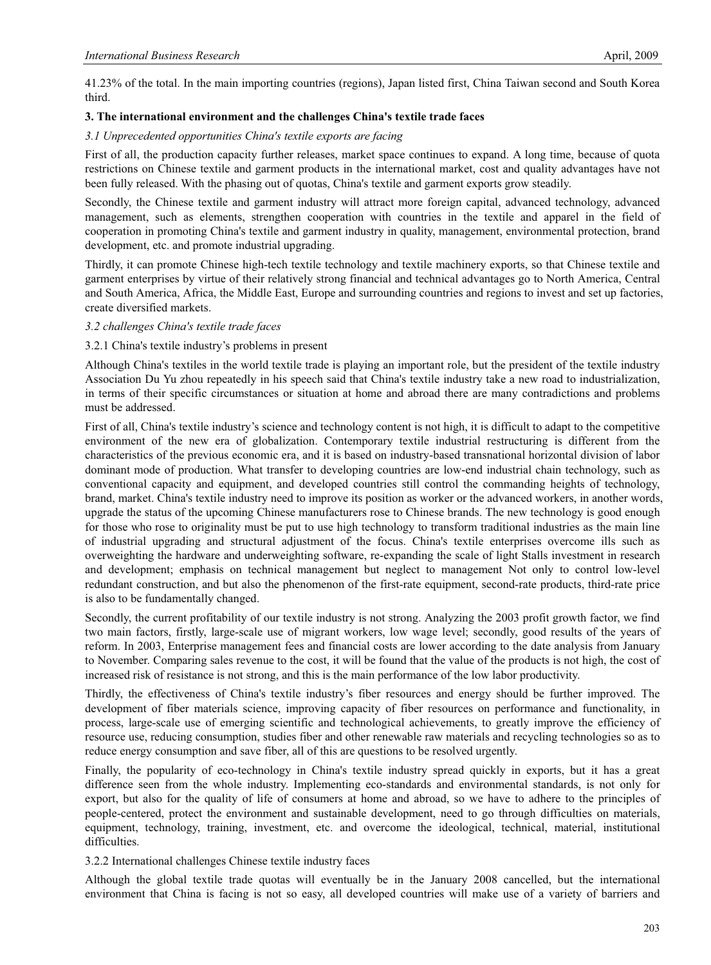41.23% of the total. In the main importing countries (regions), Japan listed first, China Taiwan second and South Korea third.

# **3. The international environment and the challenges China's textile trade faces**

# *3.1 Unprecedented opportunities China's textile exports are facing*

First of all, the production capacity further releases, market space continues to expand. A long time, because of quota restrictions on Chinese textile and garment products in the international market, cost and quality advantages have not been fully released. With the phasing out of quotas, China's textile and garment exports grow steadily.

Secondly, the Chinese textile and garment industry will attract more foreign capital, advanced technology, advanced management, such as elements, strengthen cooperation with countries in the textile and apparel in the field of cooperation in promoting China's textile and garment industry in quality, management, environmental protection, brand development, etc. and promote industrial upgrading.

Thirdly, it can promote Chinese high-tech textile technology and textile machinery exports, so that Chinese textile and garment enterprises by virtue of their relatively strong financial and technical advantages go to North America, Central and South America, Africa, the Middle East, Europe and surrounding countries and regions to invest and set up factories, create diversified markets.

# *3.2 challenges China's textile trade faces*

# 3.2.1 China's textile industry's problems in present

Although China's textiles in the world textile trade is playing an important role, but the president of the textile industry Association Du Yu zhou repeatedly in his speech said that China's textile industry take a new road to industrialization, in terms of their specific circumstances or situation at home and abroad there are many contradictions and problems must be addressed.

First of all, China's textile industry's science and technology content is not high, it is difficult to adapt to the competitive environment of the new era of globalization. Contemporary textile industrial restructuring is different from the characteristics of the previous economic era, and it is based on industry-based transnational horizontal division of labor dominant mode of production. What transfer to developing countries are low-end industrial chain technology, such as conventional capacity and equipment, and developed countries still control the commanding heights of technology, brand, market. China's textile industry need to improve its position as worker or the advanced workers, in another words, upgrade the status of the upcoming Chinese manufacturers rose to Chinese brands. The new technology is good enough for those who rose to originality must be put to use high technology to transform traditional industries as the main line of industrial upgrading and structural adjustment of the focus. China's textile enterprises overcome ills such as overweighting the hardware and underweighting software, re-expanding the scale of light Stalls investment in research and development; emphasis on technical management but neglect to management Not only to control low-level redundant construction, and but also the phenomenon of the first-rate equipment, second-rate products, third-rate price is also to be fundamentally changed.

Secondly, the current profitability of our textile industry is not strong. Analyzing the 2003 profit growth factor, we find two main factors, firstly, large-scale use of migrant workers, low wage level; secondly, good results of the years of reform. In 2003, Enterprise management fees and financial costs are lower according to the date analysis from January to November. Comparing sales revenue to the cost, it will be found that the value of the products is not high, the cost of increased risk of resistance is not strong, and this is the main performance of the low labor productivity.

Thirdly, the effectiveness of China's textile industry's fiber resources and energy should be further improved. The development of fiber materials science, improving capacity of fiber resources on performance and functionality, in process, large-scale use of emerging scientific and technological achievements, to greatly improve the efficiency of resource use, reducing consumption, studies fiber and other renewable raw materials and recycling technologies so as to reduce energy consumption and save fiber, all of this are questions to be resolved urgently.

Finally, the popularity of eco-technology in China's textile industry spread quickly in exports, but it has a great difference seen from the whole industry. Implementing eco-standards and environmental standards, is not only for export, but also for the quality of life of consumers at home and abroad, so we have to adhere to the principles of people-centered, protect the environment and sustainable development, need to go through difficulties on materials, equipment, technology, training, investment, etc. and overcome the ideological, technical, material, institutional difficulties.

#### 3.2.2 International challenges Chinese textile industry faces

Although the global textile trade quotas will eventually be in the January 2008 cancelled, but the international environment that China is facing is not so easy, all developed countries will make use of a variety of barriers and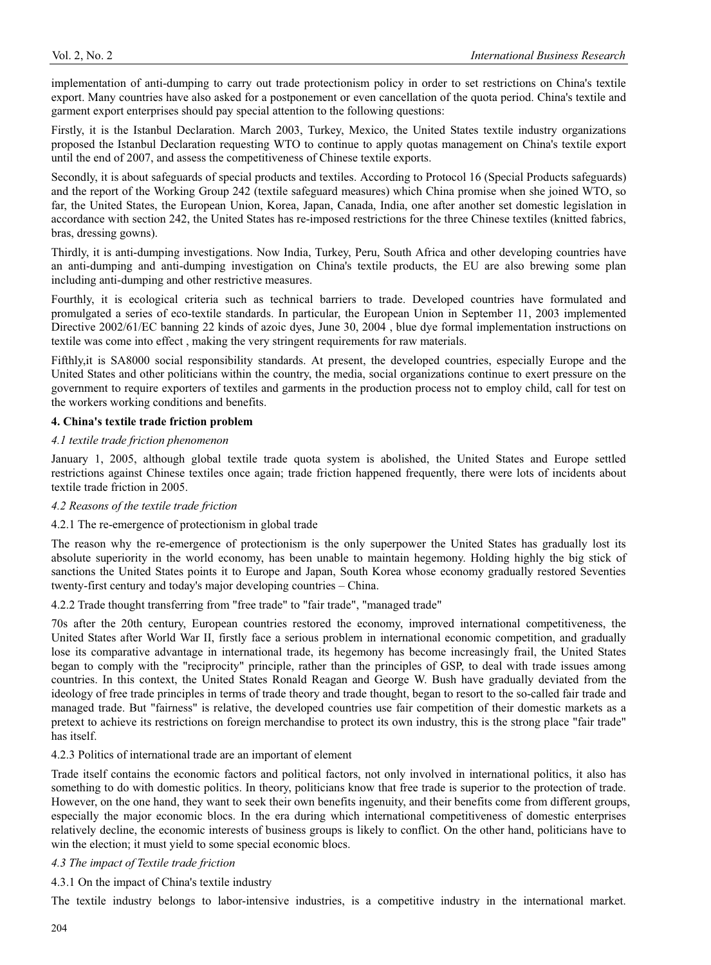implementation of anti-dumping to carry out trade protectionism policy in order to set restrictions on China's textile export. Many countries have also asked for a postponement or even cancellation of the quota period. China's textile and garment export enterprises should pay special attention to the following questions:

Firstly, it is the Istanbul Declaration. March 2003, Turkey, Mexico, the United States textile industry organizations proposed the Istanbul Declaration requesting WTO to continue to apply quotas management on China's textile export until the end of 2007, and assess the competitiveness of Chinese textile exports.

Secondly, it is about safeguards of special products and textiles. According to Protocol 16 (Special Products safeguards) and the report of the Working Group 242 (textile safeguard measures) which China promise when she joined WTO, so far, the United States, the European Union, Korea, Japan, Canada, India, one after another set domestic legislation in accordance with section 242, the United States has re-imposed restrictions for the three Chinese textiles (knitted fabrics, bras, dressing gowns).

Thirdly, it is anti-dumping investigations. Now India, Turkey, Peru, South Africa and other developing countries have an anti-dumping and anti-dumping investigation on China's textile products, the EU are also brewing some plan including anti-dumping and other restrictive measures.

Fourthly, it is ecological criteria such as technical barriers to trade. Developed countries have formulated and promulgated a series of eco-textile standards. In particular, the European Union in September 11, 2003 implemented Directive 2002/61/EC banning 22 kinds of azoic dyes, June 30, 2004, blue dye formal implementation instructions on textile was come into effect , making the very stringent requirements for raw materials.

Fifthly,it is SA8000 social responsibility standards. At present, the developed countries, especially Europe and the United States and other politicians within the country, the media, social organizations continue to exert pressure on the government to require exporters of textiles and garments in the production process not to employ child, call for test on the workers working conditions and benefits.

# **4. China's textile trade friction problem**

#### *4.1 textile trade friction phenomenon*

January 1, 2005, although global textile trade quota system is abolished, the United States and Europe settled restrictions against Chinese textiles once again; trade friction happened frequently, there were lots of incidents about textile trade friction in 2005.

#### *4.2 Reasons of the textile trade friction*

#### 4.2.1 The re-emergence of protectionism in global trade

The reason why the re-emergence of protectionism is the only superpower the United States has gradually lost its absolute superiority in the world economy, has been unable to maintain hegemony. Holding highly the big stick of sanctions the United States points it to Europe and Japan, South Korea whose economy gradually restored Seventies twenty-first century and today's major developing countries – China.

4.2.2 Trade thought transferring from "free trade" to "fair trade", "managed trade"

70s after the 20th century, European countries restored the economy, improved international competitiveness, the United States after World War II, firstly face a serious problem in international economic competition, and gradually lose its comparative advantage in international trade, its hegemony has become increasingly frail, the United States began to comply with the "reciprocity" principle, rather than the principles of GSP, to deal with trade issues among countries. In this context, the United States Ronald Reagan and George W. Bush have gradually deviated from the ideology of free trade principles in terms of trade theory and trade thought, began to resort to the so-called fair trade and managed trade. But "fairness" is relative, the developed countries use fair competition of their domestic markets as a pretext to achieve its restrictions on foreign merchandise to protect its own industry, this is the strong place "fair trade" has itself.

#### 4.2.3 Politics of international trade are an important of element

Trade itself contains the economic factors and political factors, not only involved in international politics, it also has something to do with domestic politics. In theory, politicians know that free trade is superior to the protection of trade. However, on the one hand, they want to seek their own benefits ingenuity, and their benefits come from different groups, especially the major economic blocs. In the era during which international competitiveness of domestic enterprises relatively decline, the economic interests of business groups is likely to conflict. On the other hand, politicians have to win the election; it must yield to some special economic blocs.

#### *4.3 The impact of Textile trade friction*

4.3.1 On the impact of China's textile industry

The textile industry belongs to labor-intensive industries, is a competitive industry in the international market.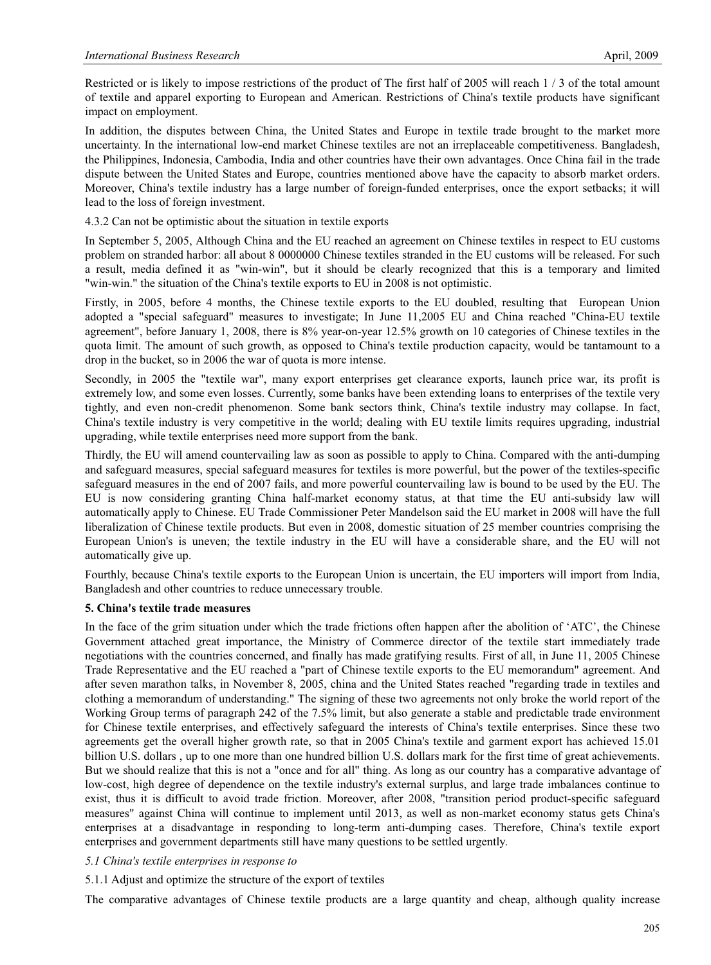Restricted or is likely to impose restrictions of the product of The first half of 2005 will reach 1 / 3 of the total amount of textile and apparel exporting to European and American. Restrictions of China's textile products have significant impact on employment.

In addition, the disputes between China, the United States and Europe in textile trade brought to the market more uncertainty. In the international low-end market Chinese textiles are not an irreplaceable competitiveness. Bangladesh, the Philippines, Indonesia, Cambodia, India and other countries have their own advantages. Once China fail in the trade dispute between the United States and Europe, countries mentioned above have the capacity to absorb market orders. Moreover, China's textile industry has a large number of foreign-funded enterprises, once the export setbacks; it will lead to the loss of foreign investment.

# 4.3.2 Can not be optimistic about the situation in textile exports

In September 5, 2005, Although China and the EU reached an agreement on Chinese textiles in respect to EU customs problem on stranded harbor: all about 8 0000000 Chinese textiles stranded in the EU customs will be released. For such a result, media defined it as "win-win", but it should be clearly recognized that this is a temporary and limited "win-win." the situation of the China's textile exports to EU in 2008 is not optimistic.

Firstly, in 2005, before 4 months, the Chinese textile exports to the EU doubled, resulting that European Union adopted a "special safeguard" measures to investigate; In June 11,2005 EU and China reached "China-EU textile agreement", before January 1, 2008, there is 8% year-on-year 12.5% growth on 10 categories of Chinese textiles in the quota limit. The amount of such growth, as opposed to China's textile production capacity, would be tantamount to a drop in the bucket, so in 2006 the war of quota is more intense.

Secondly, in 2005 the "textile war", many export enterprises get clearance exports, launch price war, its profit is extremely low, and some even losses. Currently, some banks have been extending loans to enterprises of the textile very tightly, and even non-credit phenomenon. Some bank sectors think, China's textile industry may collapse. In fact, China's textile industry is very competitive in the world; dealing with EU textile limits requires upgrading, industrial upgrading, while textile enterprises need more support from the bank.

Thirdly, the EU will amend countervailing law as soon as possible to apply to China. Compared with the anti-dumping and safeguard measures, special safeguard measures for textiles is more powerful, but the power of the textiles-specific safeguard measures in the end of 2007 fails, and more powerful countervailing law is bound to be used by the EU. The EU is now considering granting China half-market economy status, at that time the EU anti-subsidy law will automatically apply to Chinese. EU Trade Commissioner Peter Mandelson said the EU market in 2008 will have the full liberalization of Chinese textile products. But even in 2008, domestic situation of 25 member countries comprising the European Union's is uneven; the textile industry in the EU will have a considerable share, and the EU will not automatically give up.

Fourthly, because China's textile exports to the European Union is uncertain, the EU importers will import from India, Bangladesh and other countries to reduce unnecessary trouble.

#### **5. China's textile trade measures**

In the face of the grim situation under which the trade frictions often happen after the abolition of 'ATC', the Chinese Government attached great importance, the Ministry of Commerce director of the textile start immediately trade negotiations with the countries concerned, and finally has made gratifying results. First of all, in June 11, 2005 Chinese Trade Representative and the EU reached a "part of Chinese textile exports to the EU memorandum" agreement. And after seven marathon talks, in November 8, 2005, china and the United States reached "regarding trade in textiles and clothing a memorandum of understanding." The signing of these two agreements not only broke the world report of the Working Group terms of paragraph 242 of the 7.5% limit, but also generate a stable and predictable trade environment for Chinese textile enterprises, and effectively safeguard the interests of China's textile enterprises. Since these two agreements get the overall higher growth rate, so that in 2005 China's textile and garment export has achieved 15.01 billion U.S. dollars , up to one more than one hundred billion U.S. dollars mark for the first time of great achievements. But we should realize that this is not a "once and for all" thing. As long as our country has a comparative advantage of low-cost, high degree of dependence on the textile industry's external surplus, and large trade imbalances continue to exist, thus it is difficult to avoid trade friction. Moreover, after 2008, "transition period product-specific safeguard measures" against China will continue to implement until 2013, as well as non-market economy status gets China's enterprises at a disadvantage in responding to long-term anti-dumping cases. Therefore, China's textile export enterprises and government departments still have many questions to be settled urgently.

#### *5.1 China's textile enterprises in response to*

#### 5.1.1 Adjust and optimize the structure of the export of textiles

The comparative advantages of Chinese textile products are a large quantity and cheap, although quality increase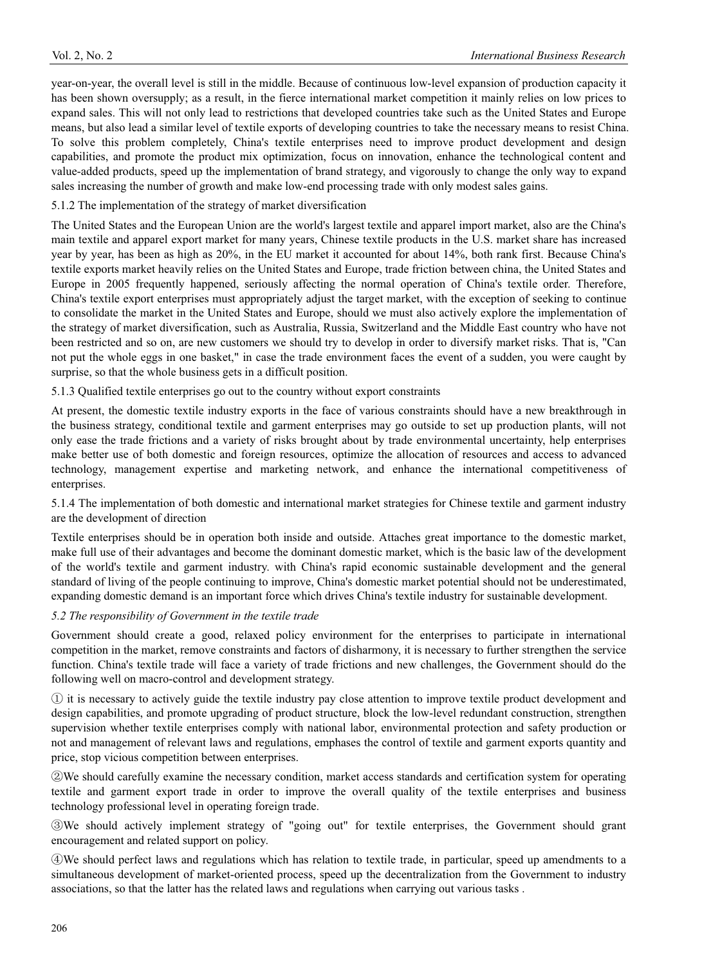year-on-year, the overall level is still in the middle. Because of continuous low-level expansion of production capacity it has been shown oversupply; as a result, in the fierce international market competition it mainly relies on low prices to expand sales. This will not only lead to restrictions that developed countries take such as the United States and Europe means, but also lead a similar level of textile exports of developing countries to take the necessary means to resist China. To solve this problem completely, China's textile enterprises need to improve product development and design capabilities, and promote the product mix optimization, focus on innovation, enhance the technological content and value-added products, speed up the implementation of brand strategy, and vigorously to change the only way to expand sales increasing the number of growth and make low-end processing trade with only modest sales gains.

#### 5.1.2 The implementation of the strategy of market diversification

The United States and the European Union are the world's largest textile and apparel import market, also are the China's main textile and apparel export market for many years, Chinese textile products in the U.S. market share has increased year by year, has been as high as 20%, in the EU market it accounted for about 14%, both rank first. Because China's textile exports market heavily relies on the United States and Europe, trade friction between china, the United States and Europe in 2005 frequently happened, seriously affecting the normal operation of China's textile order. Therefore, China's textile export enterprises must appropriately adjust the target market, with the exception of seeking to continue to consolidate the market in the United States and Europe, should we must also actively explore the implementation of the strategy of market diversification, such as Australia, Russia, Switzerland and the Middle East country who have not been restricted and so on, are new customers we should try to develop in order to diversify market risks. That is, "Can not put the whole eggs in one basket," in case the trade environment faces the event of a sudden, you were caught by surprise, so that the whole business gets in a difficult position.

5.1.3 Qualified textile enterprises go out to the country without export constraints

At present, the domestic textile industry exports in the face of various constraints should have a new breakthrough in the business strategy, conditional textile and garment enterprises may go outside to set up production plants, will not only ease the trade frictions and a variety of risks brought about by trade environmental uncertainty, help enterprises make better use of both domestic and foreign resources, optimize the allocation of resources and access to advanced technology, management expertise and marketing network, and enhance the international competitiveness of enterprises.

5.1.4 The implementation of both domestic and international market strategies for Chinese textile and garment industry are the development of direction

Textile enterprises should be in operation both inside and outside. Attaches great importance to the domestic market, make full use of their advantages and become the dominant domestic market, which is the basic law of the development of the world's textile and garment industry. with China's rapid economic sustainable development and the general standard of living of the people continuing to improve, China's domestic market potential should not be underestimated, expanding domestic demand is an important force which drives China's textile industry for sustainable development.

# *5.2 The responsibility of Government in the textile trade*

Government should create a good, relaxed policy environment for the enterprises to participate in international competition in the market, remove constraints and factors of disharmony, it is necessary to further strengthen the service function. China's textile trade will face a variety of trade frictions and new challenges, the Government should do the following well on macro-control and development strategy.

ķ it is necessary to actively guide the textile industry pay close attention to improve textile product development and design capabilities, and promote upgrading of product structure, block the low-level redundant construction, strengthen supervision whether textile enterprises comply with national labor, environmental protection and safety production or not and management of relevant laws and regulations, emphases the control of textile and garment exports quantity and price, stop vicious competition between enterprises.

@We should carefully examine the necessary condition, market access standards and certification system for operating textile and garment export trade in order to improve the overall quality of the textile enterprises and business technology professional level in operating foreign trade.

ĹWe should actively implement strategy of "going out" for textile enterprises, the Government should grant encouragement and related support on policy.

ĺWe should perfect laws and regulations which has relation to textile trade, in particular, speed up amendments to a simultaneous development of market-oriented process, speed up the decentralization from the Government to industry associations, so that the latter has the related laws and regulations when carrying out various tasks .